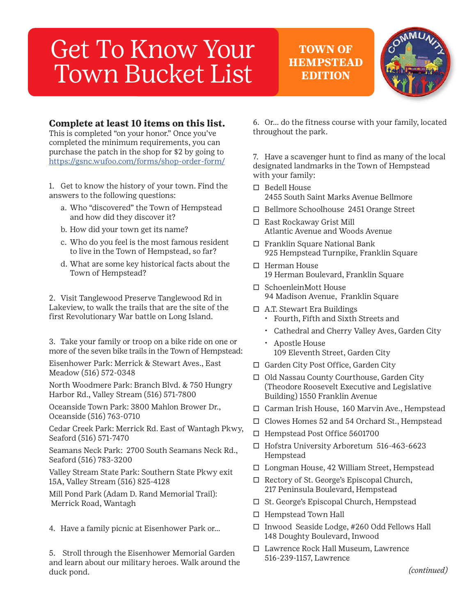# Get To Know Your Town Bucket List

**TOWN OF HEMPSTEAD EDITION**



#### **Complete at least 10 items on this list.**

This is completed "on your honor." Once you've completed the minimum requirements, you can purchase the patch in the shop for \$2 by going to https://gsnc.wufoo.com/forms/shop-order-form/

1. Get to know the history of your town. Find the answers to the following questions:

- a. Who "discovered" the Town of Hempstead and how did they discover it?
- b. How did your town get its name?
- c. Who do you feel is the most famous resident to live in the Town of Hempstead, so far?
- d. What are some key historical facts about the Town of Hempstead?

2. Visit Tanglewood Preserve Tanglewood Rd in Lakeview, to walk the trails that are the site of the first Revolutionary War battle on Long Island.

3. Take your family or troop on a bike ride on one or more of the seven bike trails in the Town of Hempstead:

Eisenhower Park: Merrick & Stewart Aves., East Meadow (516) 572-0348

North Woodmere Park: Branch Blvd. & 750 Hungry Harbor Rd., Valley Stream (516) 571-7800

Oceanside Town Park: 3800 Mahlon Brower Dr., Oceanside (516) 763-0710

Cedar Creek Park: Merrick Rd. East of Wantagh Pkwy, Seaford (516) 571-7470

Seamans Neck Park: 2700 South Seamans Neck Rd., Seaford (516) 783-3200

Valley Stream State Park: Southern State Pkwy exit 15A, Valley Stream (516) 825-4128

Mill Pond Park (Adam D. Rand Memorial Trail): Merrick Road, Wantagh

4. Have a family picnic at Eisenhower Park or…

5. Stroll through the Eisenhower Memorial Garden and learn about our military heroes. Walk around the duck pond.

6. Or… do the fitness course with your family, located throughout the park.

7. Have a scavenger hunt to find as many of the local designated landmarks in the Town of Hempstead with your family:

- $\square$  Bedell House 2455 South Saint Marks Avenue Bellmore
- � Bellmore Schoolhouse 2451 Orange Street
- □ East Rockaway Grist Mill Atlantic Avenue and Woods Avenue
- □ Franklin Square National Bank 925 Hempstead Turnpike, Franklin Square
- $\Box$  Herman House 19 Herman Boulevard, Franklin Square
- □ SchoenleinMott House 94 Madison Avenue, Franklin Square
- $\Box$  A.T. Stewart Era Buildings • Fourth, Fifth and Sixth Streets and
	- Cathedral and Cherry Valley Aves, Garden City
	- Apostle House 109 Eleventh Street, Garden City
- □ Garden City Post Office, Garden City
- � Old Nassau County Courthouse, Garden City (Theodore Roosevelt Executive and Legislative Building) 1550 Franklin Avenue
- □ Carman Irish House, 160 Marvin Ave., Hempstead
- □ Clowes Homes 52 and 54 Orchard St., Hempstead
- □ Hempstead Post Office 5601700
- □ Hofstra University Arboretum 516-463-6623 Hempstead
- □ Longman House, 42 William Street, Hempstead
- $\Box$  Rectory of St. George's Episcopal Church, 217 Peninsula Boulevard, Hempstead
- □ St. George's Episcopal Church, Hempstead
- $\Box$  Hempstead Town Hall
- $\Box$  Inwood Seaside Lodge, #260 Odd Fellows Hall 148 Doughty Boulevard, Inwood
- □ Lawrence Rock Hall Museum, Lawrence 516-239-1157, Lawrence

*(continued)*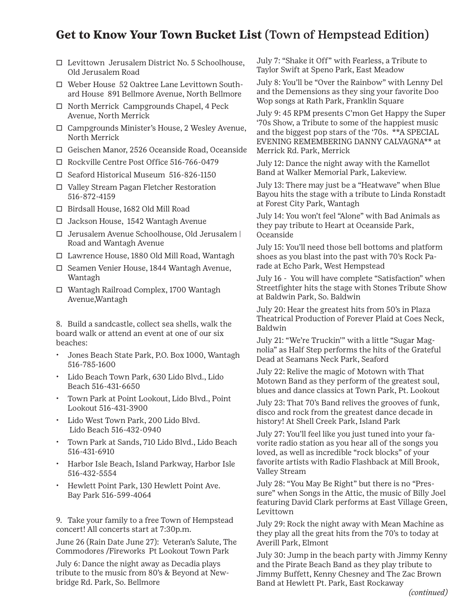## **Get to Know Your Town Bucket List** (Town of Hempstead Edition)

- $\Box$  Levittown Jerusalem District No. 5 Schoolhouse, Old Jerusalem Road
- □ Weber House 52 Oaktree Lane Levittown Southard House 891 Bellmore Avenue, North Bellmore
- $\Box$  North Merrick Campgrounds Chapel, 4 Peck Avenue, North Merrick
- □ Campgrounds Minister's House, 2 Wesley Avenue, North Merrick
- � Geischen Manor, 2526 Oceanside Road, Oceanside
- � Rockville Centre Post Office 516-766-0479
- □ Seaford Historical Museum 516-826-1150
- □ Valley Stream Pagan Fletcher Restoration 516-872-4159
- � Birdsall House, 1682 Old Mill Road
- □ Jackson House, 1542 Wantagh Avenue
- � Jerusalem Avenue Schoolhouse, Old Jerusalem | Road and Wantagh Avenue
- � Lawrence House, 1880 Old Mill Road, Wantagh
- □ Seamen Venier House, 1844 Wantagh Avenue, Wantagh
- � Wantagh Railroad Complex, 1700 Wantagh Avenue,Wantagh

8. Build a sandcastle, collect sea shells, walk the board walk or attend an event at one of our six beaches:

- Jones Beach State Park, P.O. Box 1000, Wantagh 516-785-1600
- Lido Beach Town Park, 630 Lido Blvd., Lido Beach 516-431-6650
- Town Park at Point Lookout, Lido Blvd., Point Lookout 516-431-3900
- Lido West Town Park, 200 Lido Blvd. Lido Beach 516-432-0940
- Town Park at Sands, 710 Lido Blvd., Lido Beach 516-431-6910
- Harbor Isle Beach, Island Parkway, Harbor Isle 516-432-5554
- Hewlett Point Park, 130 Hewlett Point Ave. Bay Park 516-599-4064

9. Take your family to a free Town of Hempstead concert! All concerts start at 7:30p.m.

June 26 (Rain Date June 27): Veteran's Salute, The Commodores /Fireworks Pt Lookout Town Park

July 6: Dance the night away as Decadia plays tribute to the music from 80's & Beyond at Newbridge Rd. Park, So. Bellmore

July 7: "Shake it Off" with Fearless, a Tribute to Taylor Swift at Speno Park, East Meadow

July 8: You'll be "Over the Rainbow" with Lenny Del and the Demensions as they sing your favorite Doo Wop songs at Rath Park, Franklin Square

July 9: 45 RPM presents C'mon Get Happy the Super '70s Show, a Tribute to some of the happiest music and the biggest pop stars of the '70s. \*\*A SPECIAL EVENING REMEMBERING DANNY CALVAGNA\*\* at Merrick Rd. Park, Merrick

July 12: Dance the night away with the Kamellot Band at Walker Memorial Park, Lakeview.

July 13: There may just be a "Heatwave" when Blue Bayou hits the stage with a tribute to Linda Ronstadt at Forest City Park, Wantagh

July 14: You won't feel "Alone" with Bad Animals as they pay tribute to Heart at Oceanside Park, Oceanside

July 15: You'll need those bell bottoms and platform shoes as you blast into the past with 70's Rock Parade at Echo Park, West Hempstead

July 16 - You will have complete "Satisfaction" when Streetfighter hits the stage with Stones Tribute Show at Baldwin Park, So. Baldwin

July 20: Hear the greatest hits from 50's in Plaza Theatrical Production of Forever Plaid at Coes Neck, Baldwin

July 21: "We're Truckin'" with a little "Sugar Magnolia" as Half Step performs the hits of the Grateful Dead at Seamans Neck Park, Seaford

July 22: Relive the magic of Motown with That Motown Band as they perform of the greatest soul, blues and dance classics at Town Park, Pt. Lookout

July 23: That 70's Band relives the grooves of funk, disco and rock from the greatest dance decade in history! At Shell Creek Park, Island Park

July 27: You'll feel like you just tuned into your favorite radio station as you hear all of the songs you loved, as well as incredible "rock blocks" of your favorite artists with Radio Flashback at Mill Brook, Valley Stream

July 28: "You May Be Right" but there is no "Pressure" when Songs in the Attic, the music of Billy Joel featuring David Clark performs at East Village Green, Levittown

July 29: Rock the night away with Mean Machine as they play all the great hits from the 70's to today at Averill Park, Elmont

July 30: Jump in the beach party with Jimmy Kenny and the Pirate Beach Band as they play tribute to Jimmy Buffett, Kenny Chesney and The Zac Brown Band at Hewlett Pt. Park, East Rockaway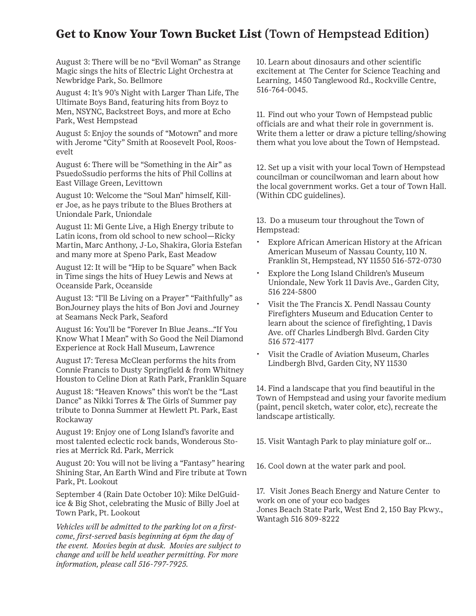#### **Get to Know Your Town Bucket List** (Town of Hempstead Edition)

August 3: There will be no "Evil Woman" as Strange Magic sings the hits of Electric Light Orchestra at Newbridge Park, So. Bellmore

August 4: It's 90's Night with Larger Than Life, The Ultimate Boys Band, featuring hits from Boyz to Men, NSYNC, Backstreet Boys, and more at Echo Park, West Hempstead

August 5: Enjoy the sounds of "Motown" and more with Jerome "City" Smith at Roosevelt Pool, Roosevelt

August 6: There will be "Something in the Air" as PsuedoSsudio performs the hits of Phil Collins at East Village Green, Levittown

August 10: Welcome the "Soul Man" himself, Killer Joe, as he pays tribute to the Blues Brothers at Uniondale Park, Uniondale

August 11: Mi Gente Live, a High Energy tribute to Latin icons, from old school to new school—Ricky Martin, Marc Anthony, J-Lo, Shakira, Gloria Estefan and many more at Speno Park, East Meadow

August 12: It will be "Hip to be Square" when Back in Time sings the hits of Huey Lewis and News at Oceanside Park, Oceanside

August 13: "I'll Be Living on a Prayer" "Faithfully" as BonJourney plays the hits of Bon Jovi and Journey at Seamans Neck Park, Seaford

August 16: You'll be "Forever In Blue Jeans…"If You Know What I Mean" with So Good the Neil Diamond Experience at Rock Hall Museum, Lawrence

August 17: Teresa McClean performs the hits from Connie Francis to Dusty Springfield & from Whitney Houston to Celine Dion at Rath Park, Franklin Square

August 18: "Heaven Knows" this won't be the "Last Dance" as Nikki Torres & The Girls of Summer pay tribute to Donna Summer at Hewlett Pt. Park, East Rockaway

August 19: Enjoy one of Long Island's favorite and most talented eclectic rock bands, Wonderous Stories at Merrick Rd. Park, Merrick

August 20: You will not be living a "Fantasy" hearing Shining Star, An Earth Wind and Fire tribute at Town Park, Pt. Lookout

September 4 (Rain Date October 10): Mike DelGuidice & Big Shot, celebrating the Music of Billy Joel at Town Park, Pt. Lookout

*Vehicles will be admitted to the parking lot on a firstcome, first-served basis beginning at 6pm the day of the event. Movies begin at dusk. Movies are subject to change and will be held weather permitting. For more information, please call 516-797-7925.*

10. Learn about dinosaurs and other scientific excitement at The Center for Science Teaching and Learning, 1450 Tanglewood Rd., Rockville Centre, 516-764-0045.

11. Find out who your Town of Hempstead public officials are and what their role in government is. Write them a letter or draw a picture telling/showing them what you love about the Town of Hempstead.

12. Set up a visit with your local Town of Hempstead councilman or councilwoman and learn about how the local government works. Get a tour of Town Hall. (Within CDC guidelines).

13. Do a museum tour throughout the Town of Hempstead:

- Explore African American History at the African American Museum of Nassau County, 110 N. Franklin St, Hempstead, NY 11550 516-572-0730
- Explore the Long Island Children's Museum Uniondale, New York 11 Davis Ave., Garden City, 516 224-5800
- Visit the The Francis X. Pendl Nassau County Firefighters Museum and Education Center to learn about the science of firefighting, 1 Davis Ave. off Charles Lindbergh Blvd. Garden City 516 572-4177
- Visit the Cradle of Aviation Museum, Charles Lindbergh Blvd, Garden City, NY 11530

14. Find a landscape that you find beautiful in the Town of Hempstead and using your favorite medium (paint, pencil sketch, water color, etc), recreate the landscape artistically.

15. Visit Wantagh Park to play miniature golf or…

16. Cool down at the water park and pool.

17. Visit Jones Beach Energy and Nature Center to work on one of your eco badges Jones Beach State Park, West End 2, 150 Bay Pkwy., Wantagh 516 809-8222